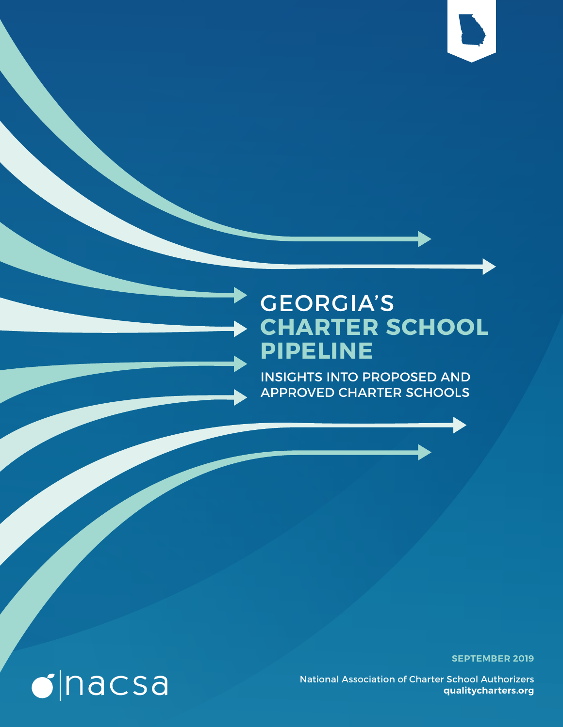

### GEORGIA'S **CHARTER SCHOOL PIPELINE**

INSIGHTS INTO PROPOSED AND APPROVED CHARTER SCHOOLS

**SEPTEMBER 2019**

National Association of Charter School Authorizers **qualitycharters.org**

# $\bullet$  nacsa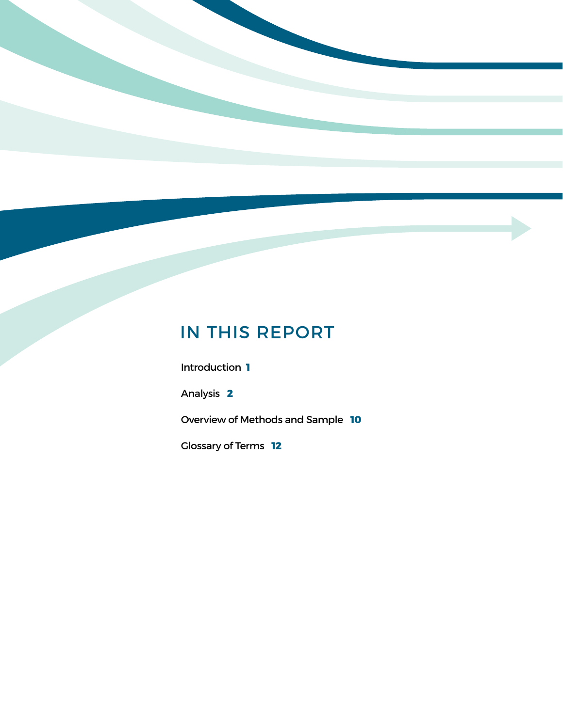### IN THIS REPORT

Introduction **1**

Analysis **2**

Overview of Methods and Sample **10**

Glossary of Terms **12**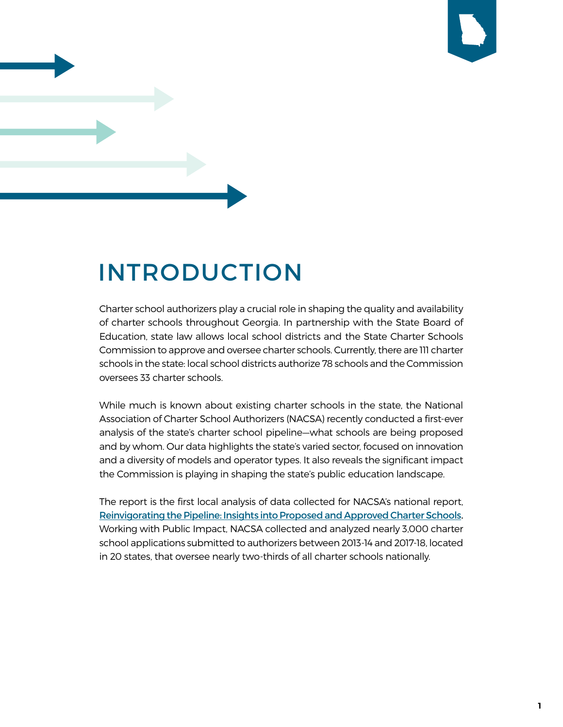

## INTRODUCTION

Charter school authorizers play a crucial role in shaping the quality and availability of charter schools throughout Georgia. In partnership with the State Board of Education, state law allows local school districts and the State Charter Schools Commission to approve and oversee charter schools. Currently, there are 111 charter schools in the state: local school districts authorize 78 schools and the Commission oversees 33 charter schools.

While much is known about existing charter schools in the state, the National Association of Charter School Authorizers (NACSA) recently conducted a first-ever analysis of the state's charter school pipeline—what schools are being proposed and by whom. Our data highlights the state's varied sector, focused on innovation and a diversity of models and operator types. It also reveals the significant impact the Commission is playing in shaping the state's public education landscape.

The report is the first local analysis of data collected for NACSA's national report, [Reinvigorating the Pipeline: Insights into Proposed and Approved Charter Schools.](https://www.qualitycharters.org/research/pipeline/) Working with Public Impact, NACSA collected and analyzed nearly 3,000 charter school applications submitted to authorizers between 2013-14 and 2017-18, located in 20 states, that oversee nearly two-thirds of all charter schools nationally.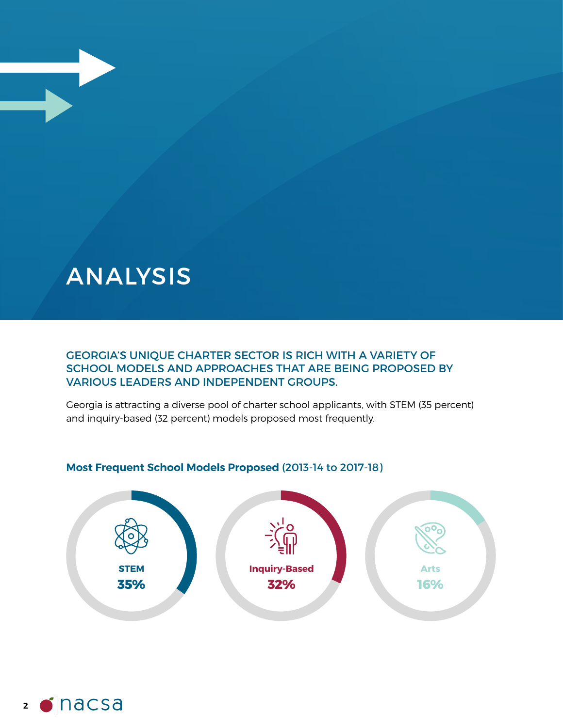### ANALYSIS

#### GEORGIA'S UNIQUE CHARTER SECTOR IS RICH WITH A VARIETY OF SCHOOL MODELS AND APPROACHES THAT ARE BEING PROPOSED BY VARIOUS LEADERS AND INDEPENDENT GROUPS.

Georgia is attracting a diverse pool of charter school applicants, with STEM (35 percent) and inquiry-based (32 percent) models proposed most frequently.



#### **Most Frequent School Models Proposed** (2013-14 to 2017-18)

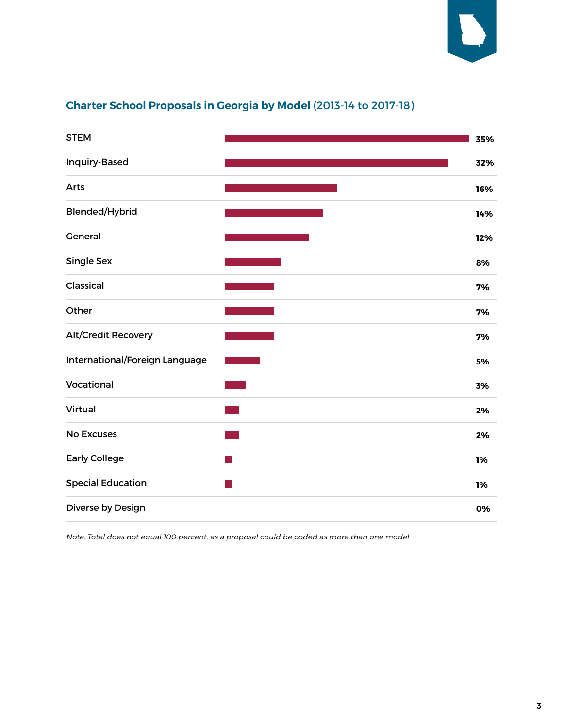

#### **Charter School Proposals in Georgia by Model** (2013-14 to 2017-18)

| <b>STEM</b>                    | 35% |
|--------------------------------|-----|
| Inquiry-Based                  | 32% |
| Arts                           | 16% |
| <b>Blended/Hybrid</b>          | 14% |
| General                        | 12% |
| <b>Single Sex</b>              | 8%  |
| Classical                      | 7%  |
| Other                          | 7%  |
| <b>Alt/Credit Recovery</b>     | 7%  |
| International/Foreign Language | 5%  |
| Vocational                     | 3%  |
| Virtual                        | 2%  |
| <b>No Excuses</b>              | 2%  |
| <b>Early College</b>           | 1%  |
| <b>Special Education</b>       | 1%  |
| Diverse by Design              | 0%  |

Note: Total does not equal 100 percent, as a proposal could be coded as more than one model.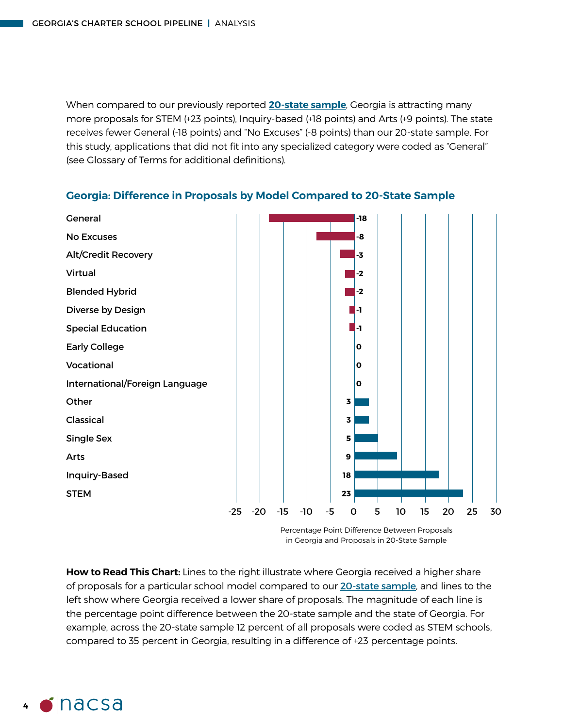When compared to our previously reported **[20-state sample](https://www.qualitycharters.org/research/pipeline/analysis/#section1)**, Georgia is attracting many more proposals for STEM (+23 points), Inquiry-based (+18 points) and Arts (+9 points). The state receives fewer General (-18 points) and "No Excuses" (-8 points) than our 20-state sample. For this study, applications that did not fit into any specialized category were coded as "General" (see Glossary of Terms for additional definitions).



**Georgia: Difference in Proposals by Model Compared to 20-State Sample**

**How to Read This Chart:** Lines to the right illustrate where Georgia received a higher share of proposals for a particular school model compared to our [20-state sample](https://www.qualitycharters.org/research/pipeline/analysis/#section1), and lines to the left show where Georgia received a lower share of proposals. The magnitude of each line is the percentage point difference between the 20-state sample and the state of Georgia. For example, across the 20-state sample 12 percent of all proposals were coded as STEM schools, compared to 35 percent in Georgia, resulting in a difference of +23 percentage points.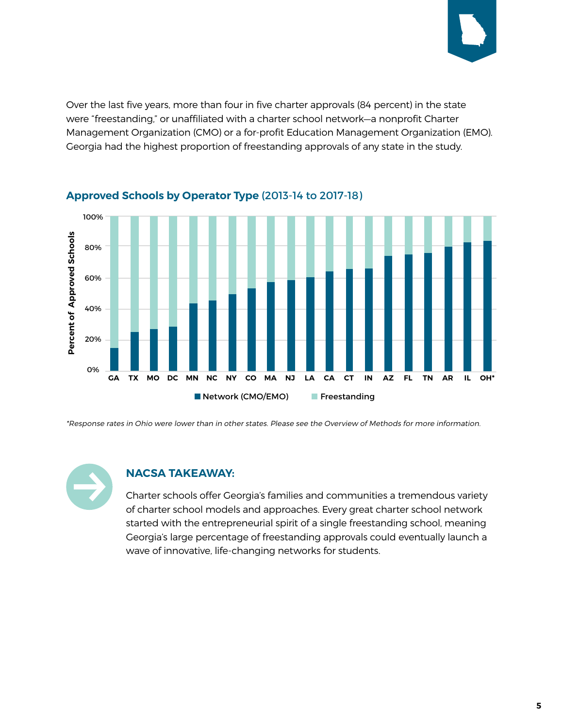

Over the last five years, more than four in five charter approvals (84 percent) in the state were "freestanding," or unaffiliated with a charter school network—a nonprofit Charter Management Organization (CMO) or a for-profit Education Management Organization (EMO). Georgia had the highest proportion of freestanding approvals of any state in the study.



#### **Approved Schools by Operator Type** (2013-14 to 2017-18)

\*Response rates in Ohio were lower than in other states. Please see the Overview of Methods for more information.



#### **NACSA TAKEAWAY:**

Charter schools offer Georgia's families and communities a tremendous variety of charter school models and approaches. Every great charter school network started with the entrepreneurial spirit of a single freestanding school, meaning Georgia's large percentage of freestanding approvals could eventually launch a wave of innovative, life-changing networks for students.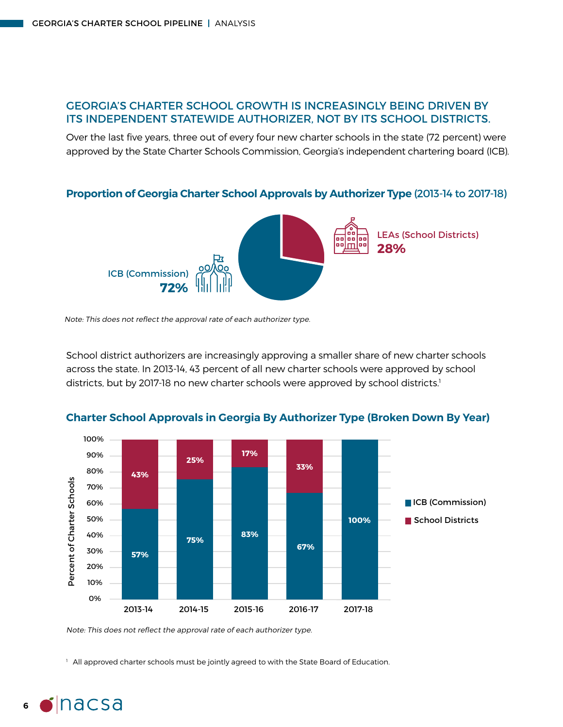#### GEORGIA'S CHARTER SCHOOL GROWTH IS INCREASINGLY BEING DRIVEN BY ITS INDEPENDENT STATEWIDE AUTHORIZER, NOT BY ITS SCHOOL DISTRICTS.

Over the last five years, three out of every four new charter schools in the state (72 percent) were approved by the State Charter Schools Commission, Georgia's independent chartering board (ICB).

**Proportion of Georgia Charter School Approvals by Authorizer Type** (2013-14 to 2017-18)



Note: This does not reflect the approval rate of each authorizer type.

School district authorizers are increasingly approving a smaller share of new charter schools across the state. In 2013-14, 43 percent of all new charter schools were approved by school districts, but by 2017-18 no new charter schools were approved by school districts.<sup>1</sup>



**Charter School Approvals in Georgia By Authorizer Type (Broken Down By Year)**

Note: This does not reflect the approval rate of each authorizer type.

<sup>1</sup> All approved charter schools must be jointly agreed to with the State Board of Education.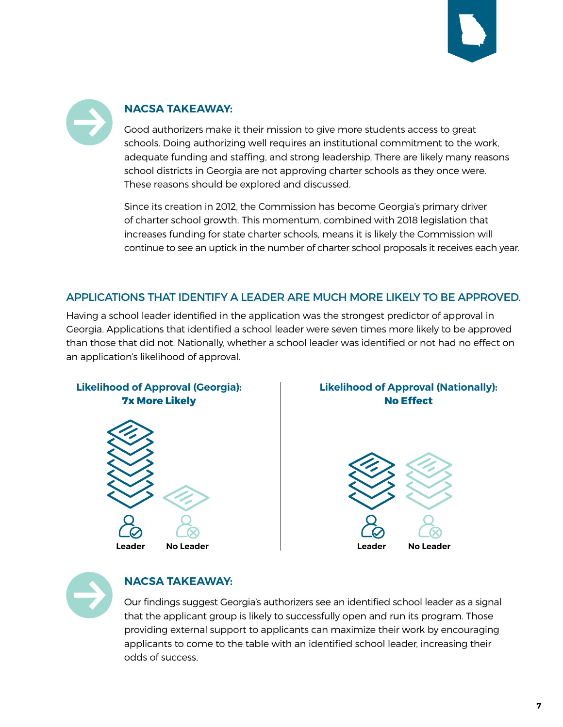



#### **NACSA TAKEAWAY:**

Good authorizers make it their mission to give more students access to great schools. Doing authorizing well requires an institutional commitment to the work, adequate funding and staffing, and strong leadership. There are likely many reasons school districts in Georgia are not approving charter schools as they once were. These reasons should be explored and discussed.

Since its creation in 2012, the Commission has become Georgia's primary driver of charter school growth. This momentum, combined with 2018 legislation that increases funding for state charter schools, means it is likely the Commission will continue to see an uptick in the number of charter school proposals it receives each year.

#### APPLICATIONS THAT IDENTIFY A LEADER ARE MUCH MORE LIKELY TO BE APPROVED.

Having a school leader identified in the application was the strongest predictor of approval in Georgia. Applications that identified a school leader were seven times more likely to be approved than those that did not. Nationally, whether a school leader was identified or not had no effect on an application's likelihood of approval.



#### **Likelihood of Approval (Nationally): No Effect**





#### **NACSA TAKEAWAY:**

Our findings suggest Georgia's authorizers see an identified school leader as a signal that the applicant group is likely to successfully open and run its program. Those providing external support to applicants can maximize their work by encouraging applicants to come to the table with an identified school leader, increasing their odds of success.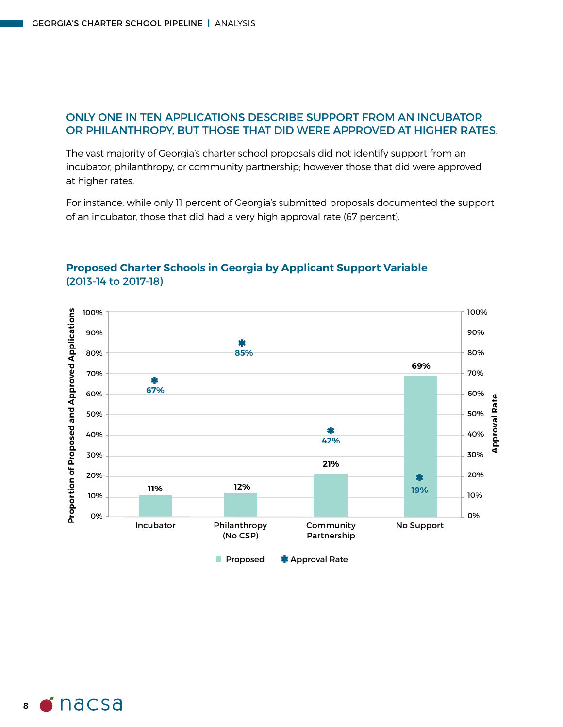#### ONLY ONE IN TEN APPLICATIONS DESCRIBE SUPPORT FROM AN INCUBATOR OR PHILANTHROPY, BUT THOSE THAT DID WERE APPROVED AT HIGHER RATES.

The vast majority of Georgia's charter school proposals did not identify support from an incubator, philanthropy, or community partnership; however those that did were approved at higher rates.

For instance, while only 11 percent of Georgia's submitted proposals documented the support of an incubator, those that did had a very high approval rate (67 percent).



#### **Proposed Charter Schools in Georgia by Applicant Support Variable** (2013-14 to 2017-18)

**8**  $\bullet$  nacsa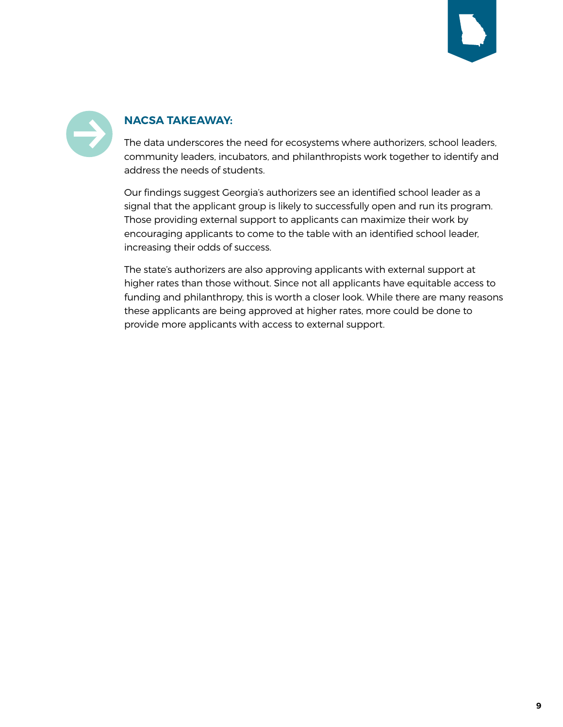



#### **NACSA TAKEAWAY:**

The data underscores the need for ecosystems where authorizers, school leaders, community leaders, incubators, and philanthropists work together to identify and address the needs of students.

Our findings suggest Georgia's authorizers see an identified school leader as a signal that the applicant group is likely to successfully open and run its program. Those providing external support to applicants can maximize their work by encouraging applicants to come to the table with an identified school leader, increasing their odds of success.

The state's authorizers are also approving applicants with external support at higher rates than those without. Since not all applicants have equitable access to funding and philanthropy, this is worth a closer look. While there are many reasons these applicants are being approved at higher rates, more could be done to provide more applicants with access to external support.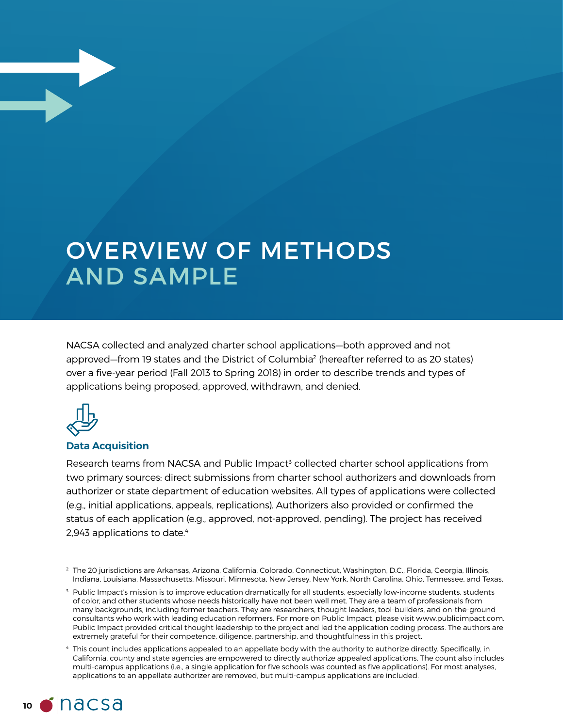### OVERVIEW OF METHODS AND SAMPLE

NACSA collected and analyzed charter school applications—both approved and not approved—from 19 states and the District of Columbia2 (hereafter referred to as 20 states) over a five-year period (Fall 2013 to Spring 2018) in order to describe trends and types of applications being proposed, approved, withdrawn, and denied.



#### **Data Acquisition**

Research teams from NACSA and Public Impact<sup>3</sup> collected charter school applications from two primary sources: direct submissions from charter school authorizers and downloads from authorizer or state department of education websites. All types of applications were collected (e.g., initial applications, appeals, replications). Authorizers also provided or confirmed the status of each application (e.g., approved, not-approved, pending). The project has received 2,943 applications to date.<sup>4</sup>

<sup>4</sup> This count includes applications appealed to an appellate body with the authority to authorize directly. Specifically, in California, county and state agencies are empowered to directly authorize appealed applications. The count also includes multi-campus applications (i.e., a single application for five schools was counted as five applications). For most analyses, applications to an appellate authorizer are removed, but multi-campus applications are included.



<sup>2</sup> The 20 jurisdictions are Arkansas, Arizona, California, Colorado, Connecticut, Washington, D.C., Florida, Georgia, Illinois, Indiana, Louisiana, Massachusetts, Missouri, Minnesota, New Jersey, New York, North Carolina, Ohio, Tennessee, and Texas.

 $3$  Public Impact's mission is to improve education dramatically for all students, especially low-income students, students of color, and other students whose needs historically have not been well met. They are a team of professionals from many backgrounds, including former teachers. They are researchers, thought leaders, tool-builders, and on-the-ground consultants who work with leading education reformers. For more on Public Impact, please visit www.publicimpact.com. Public Impact provided critical thought leadership to the project and led the application coding process. The authors are extremely grateful for their competence, diligence, partnership, and thoughtfulness in this project.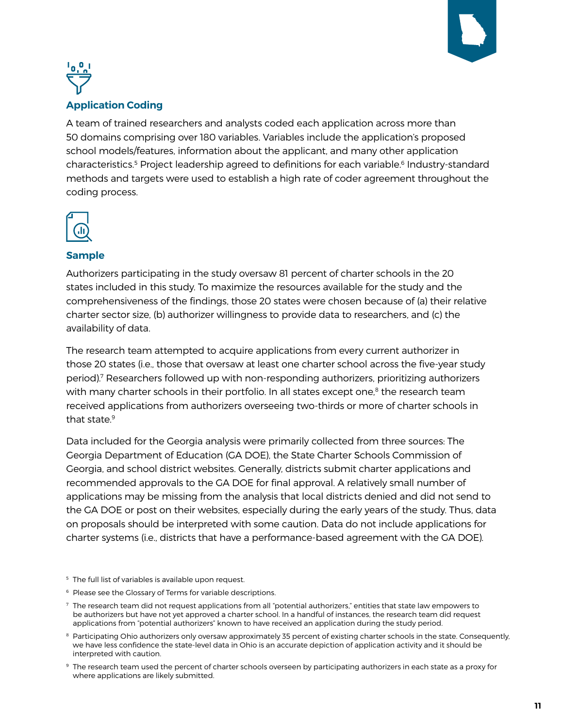



#### **Application Coding**

A team of trained researchers and analysts coded each application across more than 50 domains comprising over 180 variables. Variables include the application's proposed school models/features, information about the applicant, and many other application characteristics.<sup>5</sup> Project leadership agreed to definitions for each variable.<sup>6</sup> Industry-standard methods and targets were used to establish a high rate of coder agreement throughout the coding process.



#### **Sample**

Authorizers participating in the study oversaw 81 percent of charter schools in the 20 states included in this study. To maximize the resources available for the study and the comprehensiveness of the findings, those 20 states were chosen because of (a) their relative charter sector size, (b) authorizer willingness to provide data to researchers, and (c) the availability of data.

The research team attempted to acquire applications from every current authorizer in those 20 states (i.e., those that oversaw at least one charter school across the five-year study period).7 Researchers followed up with non-responding authorizers, prioritizing authorizers with many charter schools in their portfolio. In all states except one, $8$  the research team received applications from authorizers overseeing two-thirds or more of charter schools in that state.<sup>9</sup>

Data included for the Georgia analysis were primarily collected from three sources: The Georgia Department of Education (GA DOE), the State Charter Schools Commission of Georgia, and school district websites. Generally, districts submit charter applications and recommended approvals to the GA DOE for final approval. A relatively small number of applications may be missing from the analysis that local districts denied and did not send to the GA DOE or post on their websites, especially during the early years of the study. Thus, data on proposals should be interpreted with some caution. Data do not include applications for charter systems (i.e., districts that have a performance-based agreement with the GA DOE).

- <sup>5</sup> The full list of variables is available upon request.
- <sup>6</sup> Please see the Glossary of Terms for variable descriptions.
- $7$  The research team did not request applications from all "potential authorizers," entities that state law empowers to be authorizers but have not yet approved a charter school. In a handful of instances, the research team did request applications from "potential authorizers" known to have received an application during the study period.
- <sup>8</sup> Participating Ohio authorizers only oversaw approximately 35 percent of existing charter schools in the state. Consequently, we have less confidence the state-level data in Ohio is an accurate depiction of application activity and it should be interpreted with caution.
- <sup>9</sup> The research team used the percent of charter schools overseen by participating authorizers in each state as a proxy for where applications are likely submitted.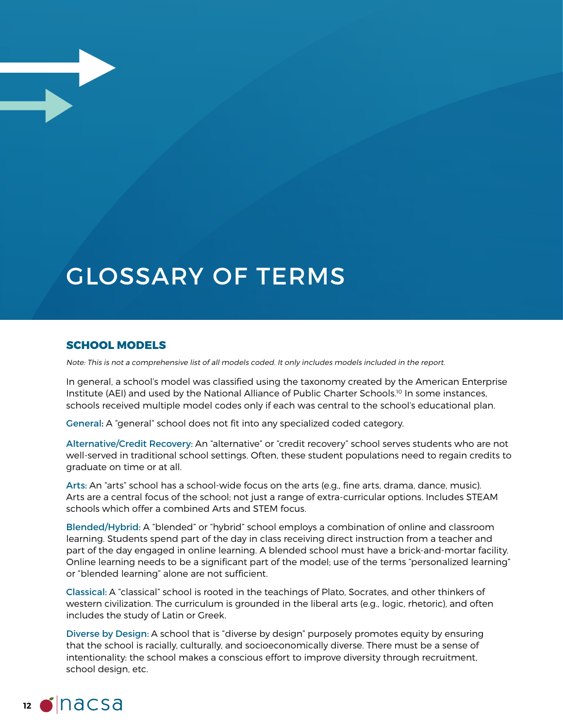### GLOSSARY OF TERMS

#### **SCHOOL MODELS**

Note: This is not a comprehensive list of all models coded. It only includes models included in the report.

In general, a school's model was classified using the taxonomy created by the American Enterprise Institute (AEI) and used by the National Alliance of Public Charter Schools.<sup>10</sup> In some instances, schools received multiple model codes only if each was central to the school's educational plan.

General: A "general" school does not fit into any specialized coded category.

Alternative/Credit Recovery: An "alternative" or "credit recovery" school serves students who are not well-served in traditional school settings. Often, these student populations need to regain credits to graduate on time or at all.

Arts: An "arts" school has a school-wide focus on the arts (e.g., fine arts, drama, dance, music). Arts are a central focus of the school; not just a range of extra-curricular options. Includes STEAM schools which offer a combined Arts and STEM focus.

Blended/Hybrid: A "blended" or "hybrid" school employs a combination of online and classroom learning. Students spend part of the day in class receiving direct instruction from a teacher and part of the day engaged in online learning. A blended school must have a brick-and-mortar facility. Online learning needs to be a significant part of the model; use of the terms "personalized learning" or "blended learning" alone are not sufficient.

Classical: A "classical" school is rooted in the teachings of Plato, Socrates, and other thinkers of western civilization. The curriculum is grounded in the liberal arts (e.g., logic, rhetoric), and often includes the study of Latin or Greek.

Diverse by Design: A school that is "diverse by design" purposely promotes equity by ensuring that the school is racially, culturally, and socioeconomically diverse. There must be a sense of intentionality: the school makes a conscious effort to improve diversity through recruitment, school design, etc.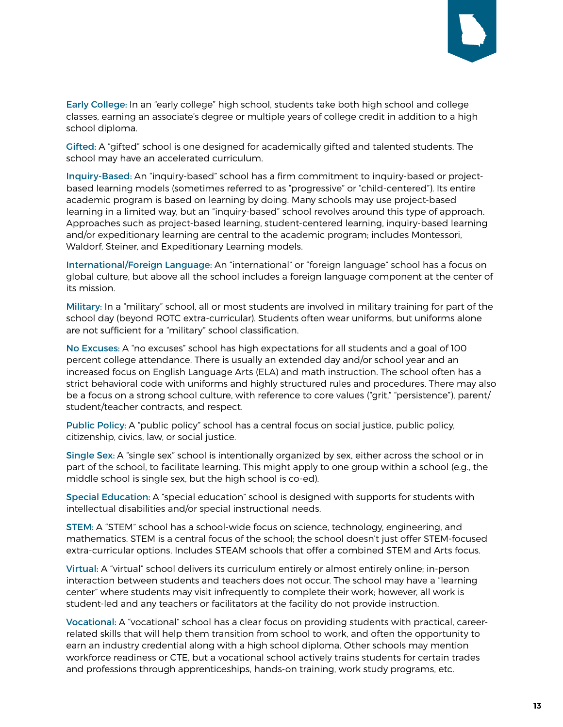

Early College: In an "early college" high school, students take both high school and college classes, earning an associate's degree or multiple years of college credit in addition to a high school diploma.

Gifted: A "gifted" school is one designed for academically gifted and talented students. The school may have an accelerated curriculum.

Inquiry-Based: An "inquiry-based" school has a firm commitment to inquiry-based or projectbased learning models (sometimes referred to as "progressive" or "child-centered"). Its entire academic program is based on learning by doing. Many schools may use project-based learning in a limited way, but an "inquiry-based" school revolves around this type of approach. Approaches such as project-based learning, student-centered learning, inquiry-based learning and/or expeditionary learning are central to the academic program; includes Montessori, Waldorf, Steiner, and Expeditionary Learning models.

International/Foreign Language: An "international" or "foreign language" school has a focus on global culture, but above all the school includes a foreign language component at the center of its mission.

Military: In a "military" school, all or most students are involved in military training for part of the school day (beyond ROTC extra-curricular). Students often wear uniforms, but uniforms alone are not sufficient for a "military" school classification.

No Excuses: A "no excuses" school has high expectations for all students and a goal of 100 percent college attendance. There is usually an extended day and/or school year and an increased focus on English Language Arts (ELA) and math instruction. The school often has a strict behavioral code with uniforms and highly structured rules and procedures. There may also be a focus on a strong school culture, with reference to core values ("grit," "persistence"), parent/ student/teacher contracts, and respect.

Public Policy: A "public policy" school has a central focus on social justice, public policy, citizenship, civics, law, or social justice.

Single Sex: A "single sex" school is intentionally organized by sex, either across the school or in part of the school, to facilitate learning. This might apply to one group within a school (e.g., the middle school is single sex, but the high school is co-ed).

Special Education: A "special education" school is designed with supports for students with intellectual disabilities and/or special instructional needs.

STEM: A "STEM" school has a school-wide focus on science, technology, engineering, and mathematics. STEM is a central focus of the school; the school doesn't just offer STEM-focused extra-curricular options. Includes STEAM schools that offer a combined STEM and Arts focus.

Virtual: A "virtual" school delivers its curriculum entirely or almost entirely online; in-person interaction between students and teachers does not occur. The school may have a "learning center" where students may visit infrequently to complete their work; however, all work is student-led and any teachers or facilitators at the facility do not provide instruction.

Vocational: A "vocational" school has a clear focus on providing students with practical, careerrelated skills that will help them transition from school to work, and often the opportunity to earn an industry credential along with a high school diploma. Other schools may mention workforce readiness or CTE, but a vocational school actively trains students for certain trades and professions through apprenticeships, hands-on training, work study programs, etc.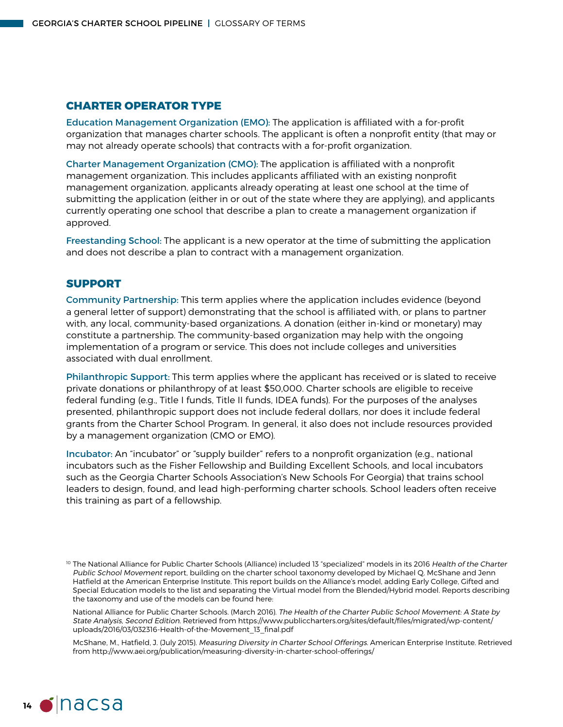#### **CHARTER OPERATOR TYPE**

Education Management Organization (EMO): The application is affiliated with a for-profit organization that manages charter schools. The applicant is often a nonprofit entity (that may or may not already operate schools) that contracts with a for-profit organization.

Charter Management Organization (CMO): The application is affiliated with a nonprofit management organization. This includes applicants affiliated with an existing nonprofit management organization, applicants already operating at least one school at the time of submitting the application (either in or out of the state where they are applying), and applicants currently operating one school that describe a plan to create a management organization if approved.

Freestanding School: The applicant is a new operator at the time of submitting the application and does not describe a plan to contract with a management organization.

#### **SUPPORT**

Community Partnership: This term applies where the application includes evidence (beyond a general letter of support) demonstrating that the school is affiliated with, or plans to partner with, any local, community-based organizations. A donation (either in-kind or monetary) may constitute a partnership. The community-based organization may help with the ongoing implementation of a program or service. This does not include colleges and universities associated with dual enrollment.

Philanthropic Support: This term applies where the applicant has received or is slated to receive private donations or philanthropy of at least \$50,000. Charter schools are eligible to receive federal funding (e.g., Title I funds, Title II funds, IDEA funds). For the purposes of the analyses presented, philanthropic support does not include federal dollars, nor does it include federal grants from the Charter School Program. In general, it also does not include resources provided by a management organization (CMO or EMO).

Incubator: An "incubator" or "supply builder" refers to a nonprofit organization (e.g., national incubators such as the Fisher Fellowship and Building Excellent Schools, and local incubators such as the Georgia Charter Schools Association's New Schools For Georgia) that trains school leaders to design, found, and lead high-performing charter schools. School leaders often receive this training as part of a fellowship.

National Alliance for Public Charter Schools. (March 2016). The Health of the Charter Public School Movement: A State by State Analysis, Second Edition. Retrieved from https://www.publiccharters.org/sites/default/files/migrated/wp-content/ uploads/2016/03/032316-Health-of-the-Movement\_13\_final.pdf

McShane, M., Hatfield, J. (July 2015). Measuring Diversity in Charter School Offerings. American Enterprise Institute. Retrieved from http://www.aei.org/publication/measuring-diversity-in-charter-school-offerings/



<sup>&</sup>lt;sup>10</sup> The National Alliance for Public Charter Schools (Alliance) included 13 "specialized" models in its 2016 Health of the Charter Public School Movement report, building on the charter school taxonomy developed by Michael Q. McShane and Jenn Hatfield at the American Enterprise Institute. This report builds on the Alliance's model, adding Early College, Gifted and Special Education models to the list and separating the Virtual model from the Blended/Hybrid model. Reports describing the taxonomy and use of the models can be found here: